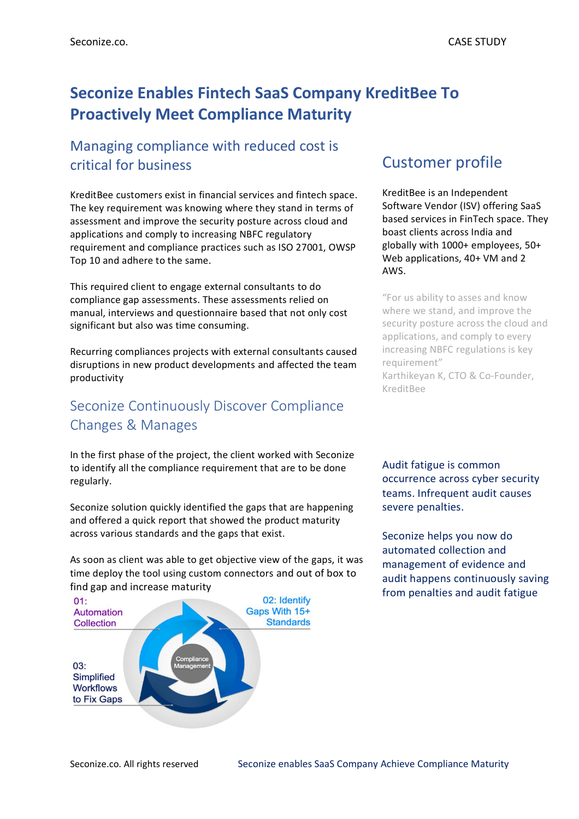# **Seconize Enables Fintech SaaS Company KreditBee To Proactively Meet Compliance Maturity**

## Managing compliance with reduced cost is critical for business

KreditBee customers exist in financial services and fintech space. The key requirement was knowing where they stand in terms of assessment and improve the security posture across cloud and applications and comply to increasing NBFC regulatory requirement and compliance practices such as ISO 27001, OWSP Top 10 and adhere to the same.

This required client to engage external consultants to do compliance gap assessments. These assessments relied on manual, interviews and questionnaire based that not only cost significant but also was time consuming.

Recurring compliances projects with external consultants caused disruptions in new product developments and affected the team productivity

## Seconize Continuously Discover Compliance Changes & Manages

In the first phase of the project, the client worked with Seconize to identify all the compliance requirement that are to be done regularly.

Seconize solution quickly identified the gaps that are happening and offered a quick report that showed the product maturity across various standards and the gaps that exist.

As soon as client was able to get objective view of the gaps, it was time deploy the tool using custom connectors and out of box to find gap and increase maturity



## Customer profile

KreditBee is an Independent Software Vendor (ISV) offering SaaS based services in FinTech space. They boast clients across India and globally with 1000+ employees, 50+ Web applications, 40+ VM and 2 AWS.

"For us ability to asses and know where we stand, and improve the security posture across the cloud and applications, and comply to every increasing NBFC regulations is key requirement" Karthikeyan K, CTO & Co-Founder, KreditBee

Audit fatigue is common occurrence across cyber security teams. Infrequent audit causes severe penalties.

Seconize helps you now do automated collection and management of evidence and audit happens continuously saving from penalties and audit fatigue